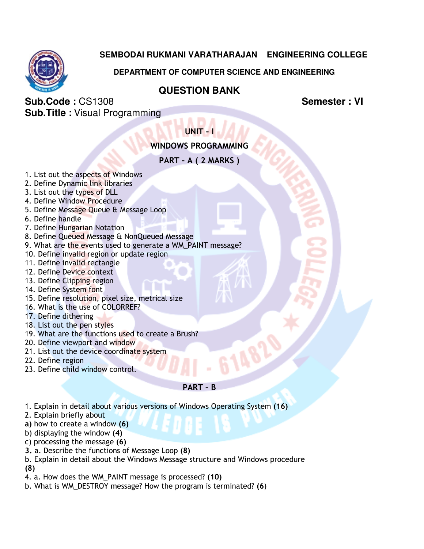# **SEMBODAI RUKMANI VARATHARAJAN ENGINEERING COLLEGE**

# **DEPARTMENT OF COMPUTER SCIENCE AND ENGINEERING**

# **QUESTION BANK**

**Sub.Code :** CS1308 **Sub.Code : CS1308 Semester : VI Sub.Title :** Visual Programming

UNIT – I

# WINDOWS PROGRAMMING

PART – A ( 2 MARKS )

- 1. List out the aspects of Windows
- 2. Define Dynamic link libraries
- 3. List out the types of DLL
- 4. Define Window Procedure
- 5. Define Message Queue & Message Loop
- 6. Define handle
- 7. Define Hungarian Notation
- 8. Define Queued Message & NonQueued Message
- 9. What are the events used to generate a WM\_PAINT message?
- 10. Define invalid region or update region
- 11. Define invalid rectangle
- 12. Define Device context
- 13. Define Clipping region
- 14. Define System font
- 15. Define resolution, pixel size, metrical size
- 16. What is the use of COLORREF?
- 17. Define dithering
- 18. List out the pen styles
- 19. What are the functions used to create a Brush?
- 20. Define viewport and window
- 21. List out the device coordinate system
- 22. Define region
- 23. Define child window control.

## PART – B

- 1. Explain in detail about various versions of Windows Operating System (16)
- 2. Explain briefly about
- a) how to create a window (6)
- b) displaying the window (4)
- c) processing the message (6)
- 3. a. Describe the functions of Message Loop (8)
- b. Explain in detail about the Windows Message structure and Windows procedure (8)
- 4. a. How does the WM\_PAINT message is processed? (10)
- b. What is WM\_DESTROY message? How the program is terminated? (6)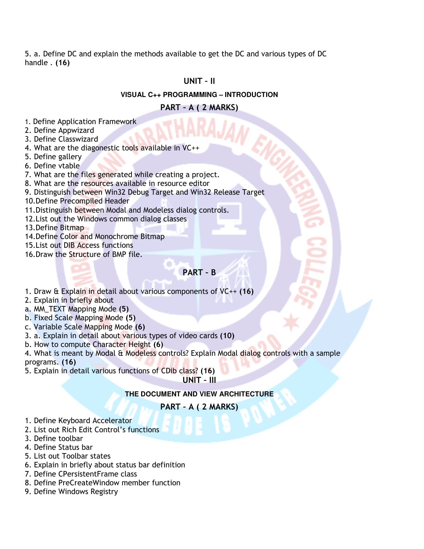5. a. Define DC and explain the methods available to get the DC and various types of DC handle . (16)

## UNIT – II

#### **VISUAL C++ PROGRAMMING – INTRODUCTION**

### PART – A ( 2 MARKS)

- 1. Define Application Framework
- 2. Define Appwizard
- 3. Define Classwizard
- 4. What are the diagonestic tools available in VC++
- 5. Define gallery
- 6. Define vtable
- 7. What are the files generated while creating a project.
- 8. What are the resources available in resource editor
- 9. Distinguish between Win32 Debug Target and Win32 Release Target
- 10.Define Precompiled Header
- 11.Distinguish between Modal and Modeless dialog controls.
- 12.List out the Windows common dialog classes
- 13.Define Bitmap
- 14.Define Color and Monochrome Bitmap
- 15.List out DIB Access functions
- 16.Draw the Structure of BMP file.

## PART – B

- 1. Draw & Explain in detail about various components of VC++ (16)
- 2. Explain in briefly about
- a. MM\_TEXT Mapping Mode (5)
- b. Fixed Scale Mapping Mode (5)
- c. Variable Scale Mapping Mode (6)
- 3. a. Explain in detail about various types of video cards (10)
- b. How to compute Character Height (6)
- 4. What is meant by Modal & Modeless controls? Explain Modal dialog controls with a sample programs. (16)
- 5. Explain in detail various functions of CDib class? (16)

UNIT – III

### **THE DOCUMENT AND VIEW ARCHITECTURE**

### PART – A ( 2 MARKS)

- 1. Define Keyboard Accelerator
- 2. List out Rich Edit Control's functions
- 3. Define toolbar
- 4. Define Status bar
- 5. List out Toolbar states
- 6. Explain in briefly about status bar definition
- 7. Define CPersistentFrame class
- 8. Define PreCreateWindow member function
- 9. Define Windows Registry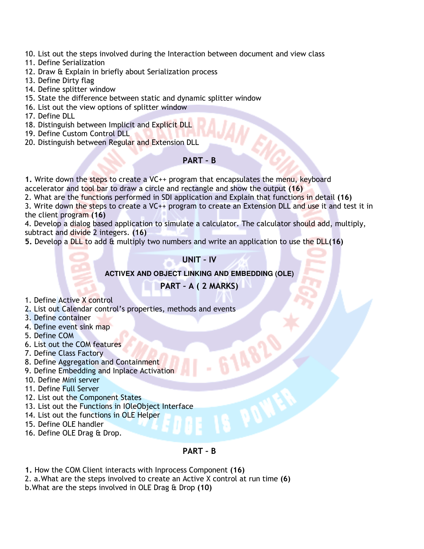- 10. List out the steps involved during the Interaction between document and view class
- 11. Define Serialization
- 12. Draw & Explain in briefly about Serialization process
- 13. Define Dirty flag
- 14. Define splitter window
- 15. State the difference between static and dynamic splitter window
- 16. List out the view options of splitter window
- 17. Define DLL
- 18. Distinguish between Implicit and Explicit DLL
- 19. Define Custom Control DLL
- 20. Distinguish between Regular and Extension DLL

#### PART – B

1. Write down the steps to create a VC++ program that encapsulates the menu, keyboard accelerator and tool bar to draw a circle and rectangle and show the output (16)

2. What are the functions performed in SDI application and Explain that functions in detail (16)

3. Write down the steps to create a VC++ program to create an Extension DLL and use it and test it in the client program (16)

4. Develop a dialog based application to simulate a calculator. The calculator should add, multiply, subtract and divide 2 integers. (16)

5. Develop a DLL to add & multiply two numbers and write an application to use the DLL(16)

UNIT – IV

#### **ACTIVEX AND OBJECT LINKING AND EMBEDDING (OLE)**

## PART – A ( 2 MARKS)

- 1. Define Active X control
- 2. List out Calendar control's properties, methods and events
- 3. Define container
- 4. Define event sink map
- 5. Define COM
- 6. List out the COM features
- 7. Define Class Factory
- 8. Define Aggregation and Containment
- 9. Define Embedding and Inplace Activation
- 10. Define Mini server
- 11. Define Full Server
- 12. List out the Component States
- 13. List out the Functions in IOleObject Interface
- 14. List out the functions in OLE Helper
- 15. Define OLE handler
- 16. Define OLE Drag & Drop.

#### PART – B

1. How the COM Client interacts with Inprocess Component (16)

2. a.What are the steps involved to create an Active X control at run time (6)

b.What are the steps involved in OLE Drag & Drop (10)